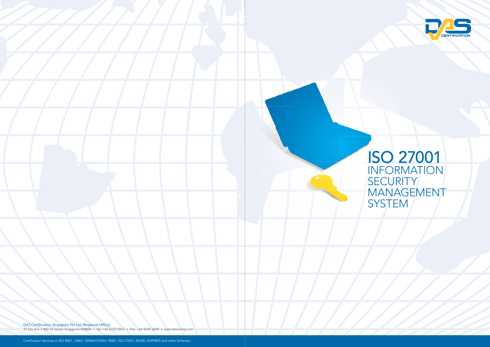DAS Certification Singapore Pte Ltd (Regional Office)

33 Ubi Ave 3 #02-34 Vertex Singapore 408868 • Tel: +65 6333 5023 • Fax: +65 6235 6838 • www.dascertsg.com



# ISO 27001 INFORMATION **SECURITY** MANAGEMENT SYSTEM